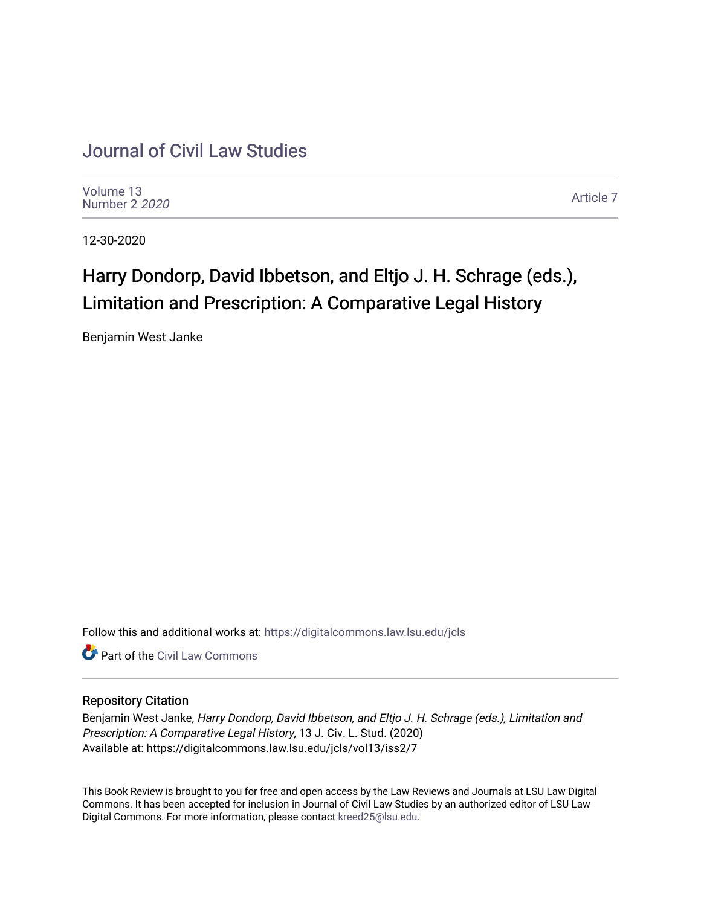## [Journal of Civil Law Studies](https://digitalcommons.law.lsu.edu/jcls)

[Volume 13](https://digitalcommons.law.lsu.edu/jcls/vol13) [Number 2](https://digitalcommons.law.lsu.edu/jcls/vol13/iss2) 2020

[Article 7](https://digitalcommons.law.lsu.edu/jcls/vol13/iss2/7) 

12-30-2020

# Harry Dondorp, David Ibbetson, and Eltjo J. H. Schrage (eds.), Limitation and Prescription: A Comparative Legal History

Benjamin West Janke

Follow this and additional works at: [https://digitalcommons.law.lsu.edu/jcls](https://digitalcommons.law.lsu.edu/jcls?utm_source=digitalcommons.law.lsu.edu%2Fjcls%2Fvol13%2Fiss2%2F7&utm_medium=PDF&utm_campaign=PDFCoverPages) 

**C** Part of the [Civil Law Commons](http://network.bepress.com/hgg/discipline/835?utm_source=digitalcommons.law.lsu.edu%2Fjcls%2Fvol13%2Fiss2%2F7&utm_medium=PDF&utm_campaign=PDFCoverPages)

### Repository Citation

Benjamin West Janke, Harry Dondorp, David Ibbetson, and Eltjo J. H. Schrage (eds.), Limitation and Prescription: A Comparative Legal History, 13 J. Civ. L. Stud. (2020) Available at: https://digitalcommons.law.lsu.edu/jcls/vol13/iss2/7

This Book Review is brought to you for free and open access by the Law Reviews and Journals at LSU Law Digital Commons. It has been accepted for inclusion in Journal of Civil Law Studies by an authorized editor of LSU Law Digital Commons. For more information, please contact [kreed25@lsu.edu.](mailto:kreed25@lsu.edu)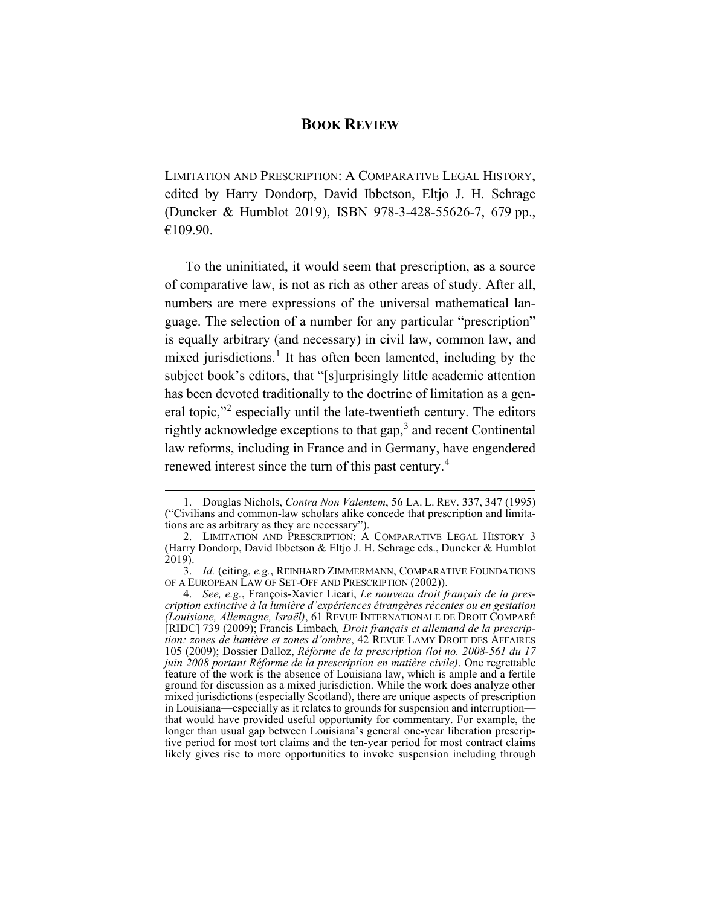### **BOOK REVIEW**

LIMITATION AND PRESCRIPTION: A COMPARATIVE LEGAL HISTORY, edited by Harry Dondorp, David Ibbetson, Eltjo J. H. Schrage (Duncker & Humblot 2019), ISBN 978-3-428-55626-7, 679 pp., €109.90.

To the uninitiated, it would seem that prescription, as a source of comparative law, is not as rich as other areas of study. After all, numbers are mere expressions of the universal mathematical language. The selection of a number for any particular "prescription" is equally arbitrary (and necessary) in civil law, common law, and mixed jurisdictions.<sup>[1](#page-1-0)</sup> It has often been lamented, including by the subject book's editors, that "[s]urprisingly little academic attention has been devoted traditionally to the doctrine of limitation as a general topic,"[2](#page-1-1) especially until the late-twentieth century. The editors rightly acknowledge exceptions to that gap,<sup>[3](#page-1-2)</sup> and recent Continental law reforms, including in France and in Germany, have engendered renewed interest since the turn of this past century.<sup>[4](#page-1-3)</sup>

<span id="page-1-4"></span><span id="page-1-0"></span><sup>1.</sup> Douglas Nichols, *Contra Non Valentem*, 56 LA. L. REV. 337, 347 (1995) ("Civilians and common-law scholars alike concede that prescription and limitations are as arbitrary as they are necessary").

<span id="page-1-1"></span><sup>2.</sup> LIMITATION AND PRESCRIPTION: A COMPARATIVE LEGAL HISTORY 3 (Harry Dondorp, David Ibbetson & Eltjo J. H. Schrage eds., Duncker & Humblot  $2019$ ).

<span id="page-1-2"></span><sup>3.</sup> *Id.* (citing, *e.g.*, REINHARD ZIMMERMANN, COMPARATIVE FOUNDATIONS OF A EUROPEAN LAW OF SET-OFF AND PRESCRIPTION (2002)).

<span id="page-1-3"></span><sup>4.</sup> *See, e.g.*, François-Xavier Licari, *Le nouveau droit français de la prescription extinctive à la lumière d'expériences étrangères récentes ou en gestation (Louisiane, Allemagne, Israël)*, 61 REVUE INTERNATIONALE DE DROIT COMPARÉ [RIDC] 739 (2009); Francis Limbach*, Droit français et allemand de la prescription: zones de lumière et zones d'ombre*, 42 REVUE LAMY DROIT DES AFFAIRES 105 (2009); Dossier Dalloz, *Réforme de la prescription (loi no. 2008-561 du 17 juin 2008 portant Réforme de la prescription en matière civile)*. One regrettable feature of the work is the absence of Louisiana law, which is ample and a fertile ground for discussion as a mixed jurisdiction. While the work does analyze other mixed jurisdictions (especially Scotland), there are unique aspects of prescription in Louisiana—especially as it relates to grounds for suspension and interruption that would have provided useful opportunity for commentary. For example, the longer than usual gap between Louisiana's general one-year liberation prescriptive period for most tort claims and the ten-year period for most contract claims likely gives rise to more opportunities to invoke suspension including through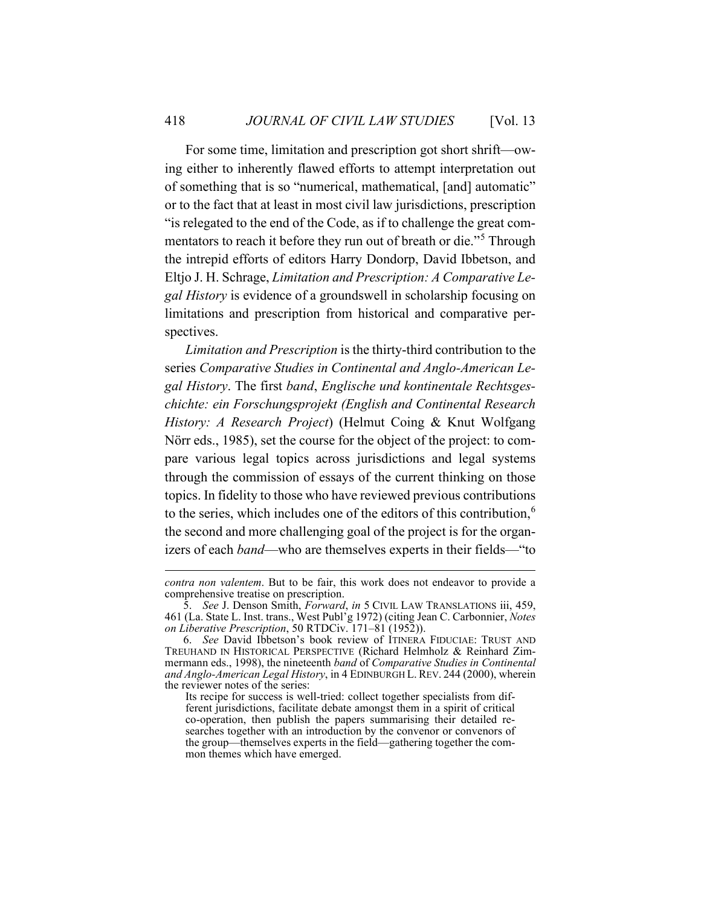For some time, limitation and prescription got short shrift—owing either to inherently flawed efforts to attempt interpretation out of something that is so "numerical, mathematical, [and] automatic" or to the fact that at least in most civil law jurisdictions, prescription "is relegated to the end of the Code, as if to challenge the great com-mentators to reach it before they run out of breath or die."<sup>[5](#page-2-0)</sup> Through the intrepid efforts of editors Harry Dondorp, David Ibbetson, and Eltjo J. H. Schrage, *Limitation and Prescription: A Comparative Legal History* is evidence of a groundswell in scholarship focusing on limitations and prescription from historical and comparative perspectives.

*Limitation and Prescription* is the thirty-third contribution to the series *Comparative Studies in Continental and Anglo-American Legal History*. The first *band*, *Englische und kontinentale Rechtsgeschichte: ein Forschungsprojekt (English and Continental Research History: A Research Project*) (Helmut Coing & Knut Wolfgang Nörr eds., 1985), set the course for the object of the project: to compare various legal topics across jurisdictions and legal systems through the commission of essays of the current thinking on those topics. In fidelity to those who have reviewed previous contributions to the series, which includes one of the editors of this contribution, $<sup>6</sup>$  $<sup>6</sup>$  $<sup>6</sup>$ </sup> the second and more challenging goal of the project is for the organizers of each *band*—who are themselves experts in their fields—"to

*contra non valentem*. But to be fair, this work does not endeavor to provide a comprehensive treatise on prescription.

<span id="page-2-0"></span><sup>5.</sup> *See* J. Denson Smith, *Forward*, *in* 5 CIVIL LAW TRANSLATIONS iii, 459, 461 (La. State L. Inst. trans., West Publ'g 1972) (citing Jean C. Carbonnier, *Notes on Liberative Prescription*, 50 RTDCiv. 171–81 (1952)).

<span id="page-2-1"></span><sup>6.</sup> *See* David Ibbetson's book review of ITINERA FIDUCIAE: TRUST AND TREUHAND IN HISTORICAL PERSPECTIVE (Richard Helmholz & Reinhard Zimmermann eds., 1998), the nineteenth *band* of *Comparative Studies in Continental and Anglo-American Legal History*, in 4 EDINBURGH L. REV. 244 (2000), wherein the reviewer notes of the series:

Its recipe for success is well-tried: collect together specialists from different jurisdictions, facilitate debate amongst them in a spirit of critical co-operation, then publish the papers summarising their detailed researches together with an introduction by the convenor or convenors of the group—themselves experts in the field—gathering together the common themes which have emerged.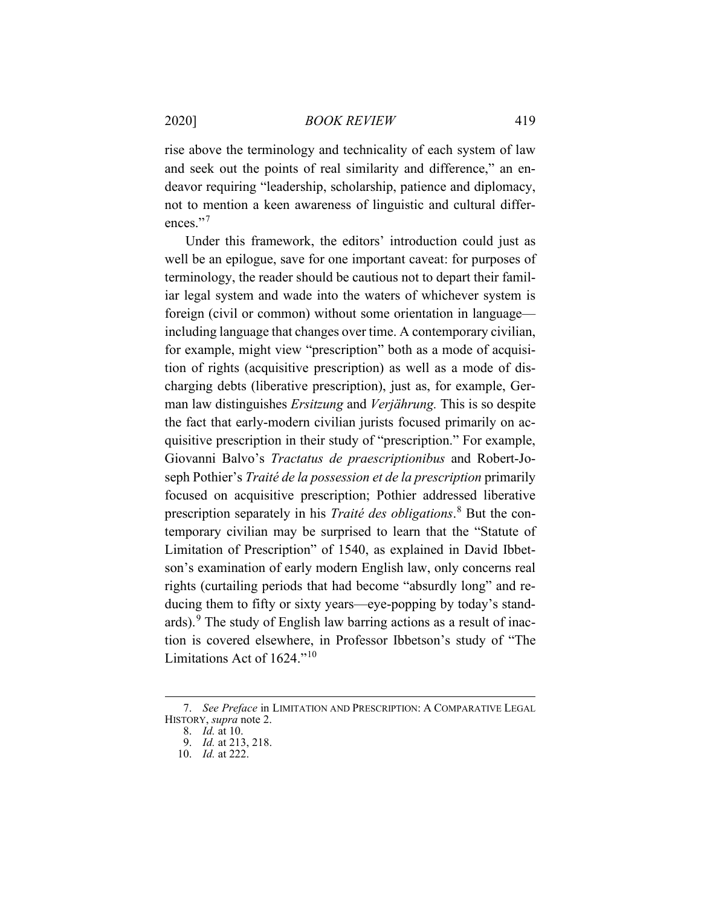rise above the terminology and technicality of each system of law and seek out the points of real similarity and difference," an endeavor requiring "leadership, scholarship, patience and diplomacy, not to mention a keen awareness of linguistic and cultural differ-ences."<sup>[7](#page-3-0)</sup>

Under this framework, the editors' introduction could just as well be an epilogue, save for one important caveat: for purposes of terminology, the reader should be cautious not to depart their familiar legal system and wade into the waters of whichever system is foreign (civil or common) without some orientation in language including language that changes over time. A contemporary civilian, for example, might view "prescription" both as a mode of acquisition of rights (acquisitive prescription) as well as a mode of discharging debts (liberative prescription), just as, for example, German law distinguishes *Ersitzung* and *Verjährung.* This is so despite the fact that early-modern civilian jurists focused primarily on acquisitive prescription in their study of "prescription." For example, Giovanni Balvo's *Tractatus de praescriptionibus* and Robert-Joseph Pothier's *Traité de la possession et de la prescription* primarily focused on acquisitive prescription; Pothier addressed liberative prescription separately in his *Traité des obligations*. [8](#page-3-1) But the contemporary civilian may be surprised to learn that the "Statute of Limitation of Prescription" of 1540, as explained in David Ibbetson's examination of early modern English law, only concerns real rights (curtailing periods that had become "absurdly long" and reducing them to fifty or sixty years—eye-popping by today's standards). $9$  The study of English law barring actions as a result of inaction is covered elsewhere, in Professor Ibbetson's study of "The Limitations Act of 1624."[10](#page-3-3)

<span id="page-3-3"></span><span id="page-3-2"></span><span id="page-3-1"></span><span id="page-3-0"></span><sup>7.</sup> *See Preface* in LIMITATION AND PRESCRIPTION: A COMPARATIVE LEGAL HISTORY, *supra* note [2.](#page-1-4)

<sup>8.</sup> *Id.* at 10.

<sup>9.</sup> *Id.* at 213, 218.

<sup>10.</sup> *Id.* at 222.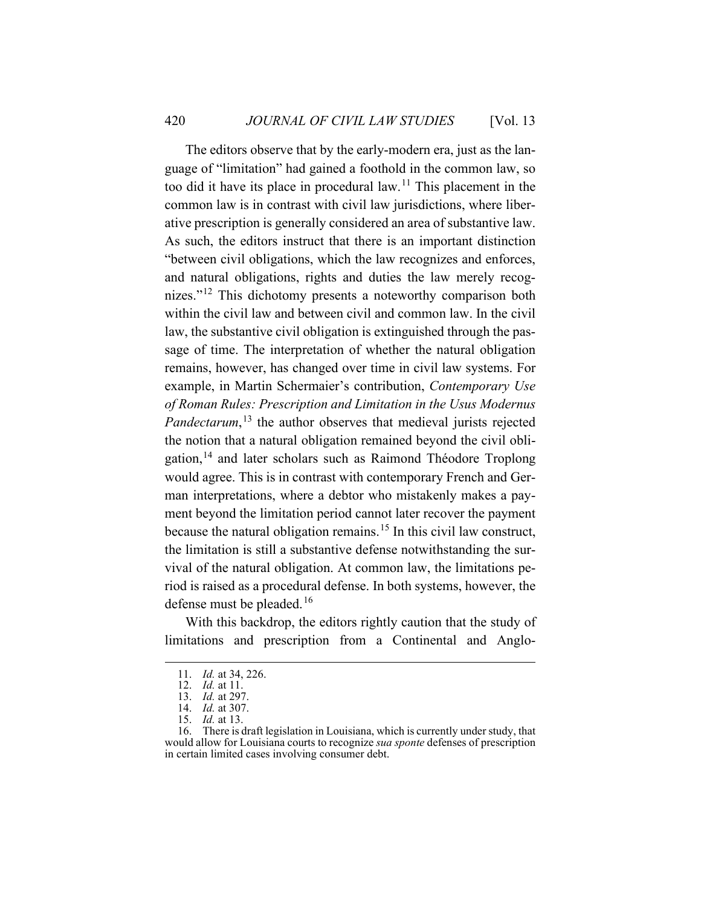The editors observe that by the early-modern era, just as the language of "limitation" had gained a foothold in the common law, so too did it have its place in procedural law.[11](#page-4-0) This placement in the common law is in contrast with civil law jurisdictions, where liberative prescription is generally considered an area of substantive law. As such, the editors instruct that there is an important distinction "between civil obligations, which the law recognizes and enforces, and natural obligations, rights and duties the law merely recog-nizes."<sup>[12](#page-4-1)</sup> This dichotomy presents a noteworthy comparison both within the civil law and between civil and common law. In the civil law, the substantive civil obligation is extinguished through the passage of time. The interpretation of whether the natural obligation remains, however, has changed over time in civil law systems. For example, in Martin Schermaier's contribution, *Contemporary Use of Roman Rules: Prescription and Limitation in the Usus Modernus Pandectarum*, [13](#page-4-2) the author observes that medieval jurists rejected the notion that a natural obligation remained beyond the civil obli-gation,<sup>[14](#page-4-3)</sup> and later scholars such as Raimond Théodore Troplong would agree. This is in contrast with contemporary French and German interpretations, where a debtor who mistakenly makes a payment beyond the limitation period cannot later recover the payment because the natural obligation remains.<sup>[15](#page-4-4)</sup> In this civil law construct, the limitation is still a substantive defense notwithstanding the survival of the natural obligation. At common law, the limitations period is raised as a procedural defense. In both systems, however, the defense must be pleaded.<sup>[16](#page-4-5)</sup>

<span id="page-4-0"></span>With this backdrop, the editors rightly caution that the study of limitations and prescription from a Continental and Anglo-

<sup>11.</sup> *Id.* at 34, 226.

<sup>12.</sup> *Id.* at 11.

<sup>13.</sup> *Id.* at 297.

<sup>14.</sup> *Id.* at 307.

<sup>15.</sup> *Id.* at 13.

<span id="page-4-5"></span><span id="page-4-4"></span><span id="page-4-3"></span><span id="page-4-2"></span><span id="page-4-1"></span><sup>16.</sup> There is draft legislation in Louisiana, which is currently under study, that would allow for Louisiana courts to recognize *sua sponte* defenses of prescription in certain limited cases involving consumer debt.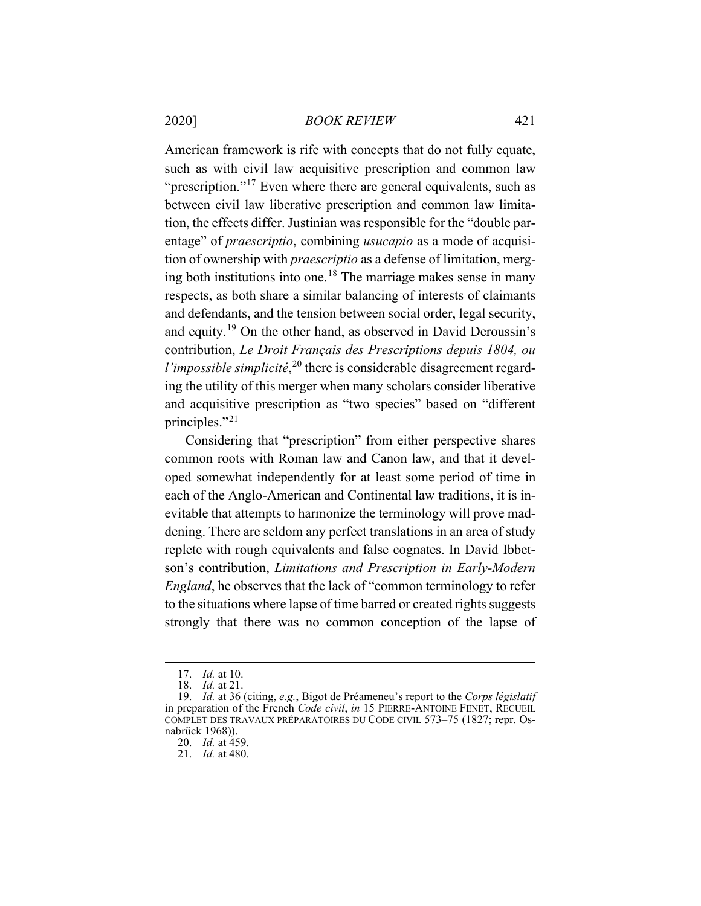American framework is rife with concepts that do not fully equate, such as with civil law acquisitive prescription and common law "prescription."<sup>[17](#page-5-0)</sup> Even where there are general equivalents, such as between civil law liberative prescription and common law limitation, the effects differ. Justinian was responsible for the "double parentage" of *praescriptio*, combining *usucapio* as a mode of acquisition of ownership with *praescriptio* as a defense of limitation, merg-ing both institutions into one.<sup>[18](#page-5-1)</sup> The marriage makes sense in many respects, as both share a similar balancing of interests of claimants and defendants, and the tension between social order, legal security, and equity.[19](#page-5-2) On the other hand, as observed in David Deroussin's contribution, *Le Droit Français des Prescriptions depuis 1804, ou l'impossible simplicité*,<sup>[20](#page-5-3)</sup> there is considerable disagreement regarding the utility of this merger when many scholars consider liberative and acquisitive prescription as "two species" based on "different principles."[21](#page-5-4)

Considering that "prescription" from either perspective shares common roots with Roman law and Canon law, and that it developed somewhat independently for at least some period of time in each of the Anglo-American and Continental law traditions, it is inevitable that attempts to harmonize the terminology will prove maddening. There are seldom any perfect translations in an area of study replete with rough equivalents and false cognates. In David Ibbetson's contribution, *Limitations and Prescription in Early-Modern England*, he observes that the lack of "common terminology to refer to the situations where lapse of time barred or created rights suggests strongly that there was no common conception of the lapse of

<sup>17.</sup> *Id.* at 10.

<sup>18.</sup> *Id.* at 21.

<span id="page-5-4"></span><span id="page-5-3"></span><span id="page-5-2"></span><span id="page-5-1"></span><span id="page-5-0"></span><sup>19.</sup> *Id.* at 36 (citing, *e.g.*, Bigot de Préameneu's report to the *Corps législatif* in preparation of the French *Code civil*, *in* 15 PIERRE-ANTOINE FENET, RECUEIL COMPLET DES TRAVAUX PRÉPARATOIRES DU CODE CIVIL 573–75 (1827; repr. Osnabrück 1968)).

<sup>20.</sup> *Id.* at 459.

<sup>21.</sup> *Id.* at 480.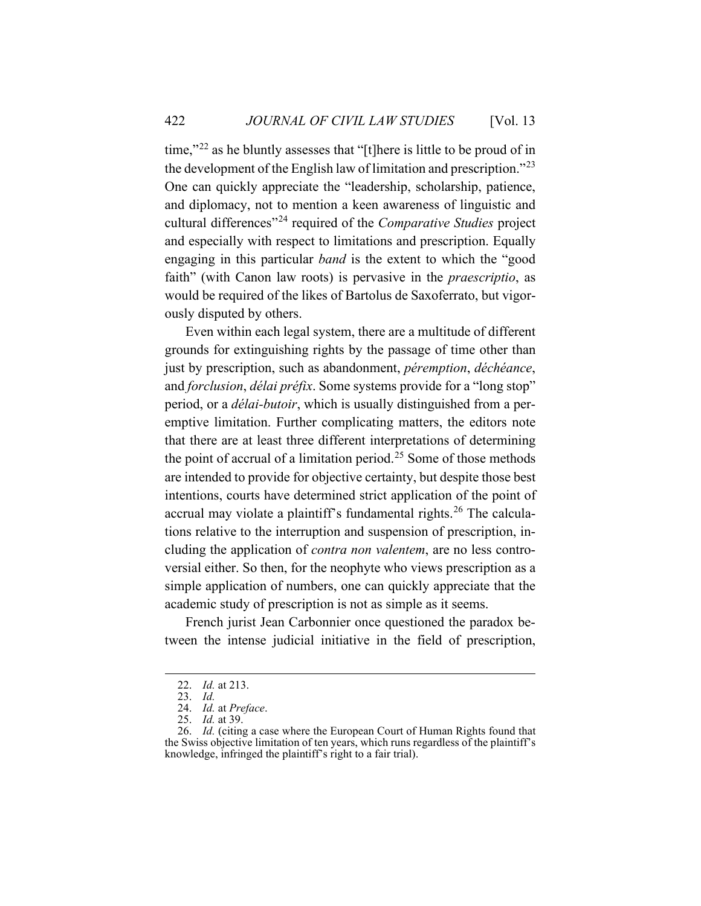time,"[22](#page-6-0) as he bluntly assesses that "[t]here is little to be proud of in the development of the English law of limitation and prescription."[23](#page-6-1) One can quickly appreciate the "leadership, scholarship, patience, and diplomacy, not to mention a keen awareness of linguistic and cultural differences"[24](#page-6-2) required of the *Comparative Studies* project and especially with respect to limitations and prescription. Equally engaging in this particular *band* is the extent to which the "good faith" (with Canon law roots) is pervasive in the *praescriptio*, as would be required of the likes of Bartolus de Saxoferrato, but vigorously disputed by others.

Even within each legal system, there are a multitude of different grounds for extinguishing rights by the passage of time other than just by prescription, such as abandonment, *péremption*, *déchéance*, and *forclusion*, *délai préfix*. Some systems provide for a "long stop" period, or a *délai-butoir*, which is usually distinguished from a peremptive limitation. Further complicating matters, the editors note that there are at least three different interpretations of determining the point of accrual of a limitation period.<sup>[25](#page-6-3)</sup> Some of those methods are intended to provide for objective certainty, but despite those best intentions, courts have determined strict application of the point of accrual may violate a plaintiff's fundamental rights.<sup>[26](#page-6-4)</sup> The calculations relative to the interruption and suspension of prescription, including the application of *contra non valentem*, are no less controversial either. So then, for the neophyte who views prescription as a simple application of numbers, one can quickly appreciate that the academic study of prescription is not as simple as it seems.

French jurist Jean Carbonnier once questioned the paradox between the intense judicial initiative in the field of prescription,

<sup>22.</sup> *Id.* at 213.

<sup>23.</sup> *Id.*

<sup>24.</sup> *Id.* at *Preface*.

<sup>25.</sup> *Id.* at 39.

<span id="page-6-4"></span><span id="page-6-3"></span><span id="page-6-2"></span><span id="page-6-1"></span><span id="page-6-0"></span><sup>26.</sup> *Id.* (citing a case where the European Court of Human Rights found that the Swiss objective limitation of ten years, which runs regardless of the plaintiff's knowledge, infringed the plaintiff's right to a fair trial).